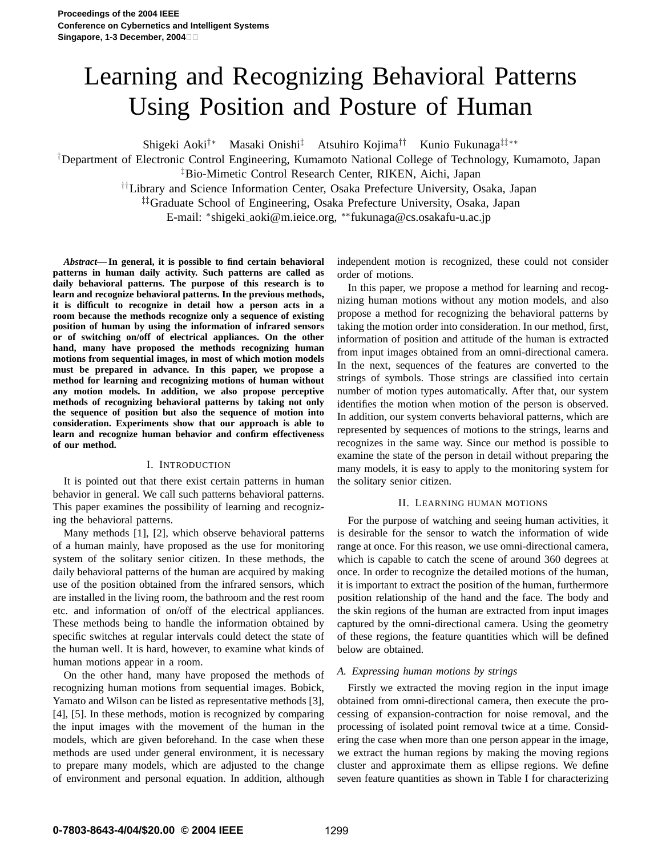# Learning and Recognizing Behavioral Patterns Using Position and Posture of Human

Shigeki Aoki†∗ Masaki Onishi‡ Atsuhiro Kojima†† Kunio Fukunaga‡‡∗∗

†Department of Electronic Control Engineering, Kumamoto National College of Technology, Kumamoto, Japan ‡Bio-Mimetic Control Research Center, RIKEN, Aichi, Japan

††Library and Science Information Center, Osaka Prefecture University, Osaka, Japan

‡‡Graduate School of Engineering, Osaka Prefecture University, Osaka, Japan

E-mail: <sup>∗</sup> shigeki aoki@m.ieice.org, ∗∗fukunaga@cs.osakafu-u.ac.jp

*Abstract***— In general, it is possible to find certain behavioral patterns in human daily activity. Such patterns are called as daily behavioral patterns. The purpose of this research is to learn and recognize behavioral patterns. In the previous methods, it is difficult to recognize in detail how a person acts in a room because the methods recognize only a sequence of existing position of human by using the information of infrared sensors or of switching on/off of electrical appliances. On the other hand, many have proposed the methods recognizing human motions from sequential images, in most of which motion models must be prepared in advance. In this paper, we propose a method for learning and recognizing motions of human without any motion models. In addition, we also propose perceptive methods of recognizing behavioral patterns by taking not only the sequence of position but also the sequence of motion into consideration. Experiments show that our approach is able to learn and recognize human behavior and confirm effectiveness of our method.**

## I. INTRODUCTION

It is pointed out that there exist certain patterns in human behavior in general. We call such patterns behavioral patterns. This paper examines the possibility of learning and recognizing the behavioral patterns.

Many methods [1], [2], which observe behavioral patterns of a human mainly, have proposed as the use for monitoring system of the solitary senior citizen. In these methods, the daily behavioral patterns of the human are acquired by making use of the position obtained from the infrared sensors, which are installed in the living room, the bathroom and the rest room etc. and information of on/off of the electrical appliances. These methods being to handle the information obtained by specific switches at regular intervals could detect the state of the human well. It is hard, however, to examine what kinds of human motions appear in a room.

On the other hand, many have proposed the methods of recognizing human motions from sequential images. Bobick, Yamato and Wilson can be listed as representative methods [3], [4], [5]. In these methods, motion is recognized by comparing the input images with the movement of the human in the models, which are given beforehand. In the case when these methods are used under general environment, it is necessary to prepare many models, which are adjusted to the change of environment and personal equation. In addition, although

independent motion is recognized, these could not consider order of motions.

In this paper, we propose a method for learning and recognizing human motions without any motion models, and also propose a method for recognizing the behavioral patterns by taking the motion order into consideration. In our method, first, information of position and attitude of the human is extracted from input images obtained from an omni-directional camera. In the next, sequences of the features are converted to the strings of symbols. Those strings are classified into certain number of motion types automatically. After that, our system identifies the motion when motion of the person is observed. In addition, our system converts behavioral patterns, which are represented by sequences of motions to the strings, learns and recognizes in the same way. Since our method is possible to examine the state of the person in detail without preparing the many models, it is easy to apply to the monitoring system for the solitary senior citizen.

## II. LEARNING HUMAN MOTIONS

For the purpose of watching and seeing human activities, it is desirable for the sensor to watch the information of wide range at once. For this reason, we use omni-directional camera, which is capable to catch the scene of around 360 degrees at once. In order to recognize the detailed motions of the human, it is important to extract the position of the human, furthermore position relationship of the hand and the face. The body and the skin regions of the human are extracted from input images captured by the omni-directional camera. Using the geometry of these regions, the feature quantities which will be defined below are obtained.

## *A. Expressing human motions by strings*

Firstly we extracted the moving region in the input image obtained from omni-directional camera, then execute the processing of expansion-contraction for noise removal, and the processing of isolated point removal twice at a time. Considering the case when more than one person appear in the image, we extract the human regions by making the moving regions cluster and approximate them as ellipse regions. We define seven feature quantities as shown in Table I for characterizing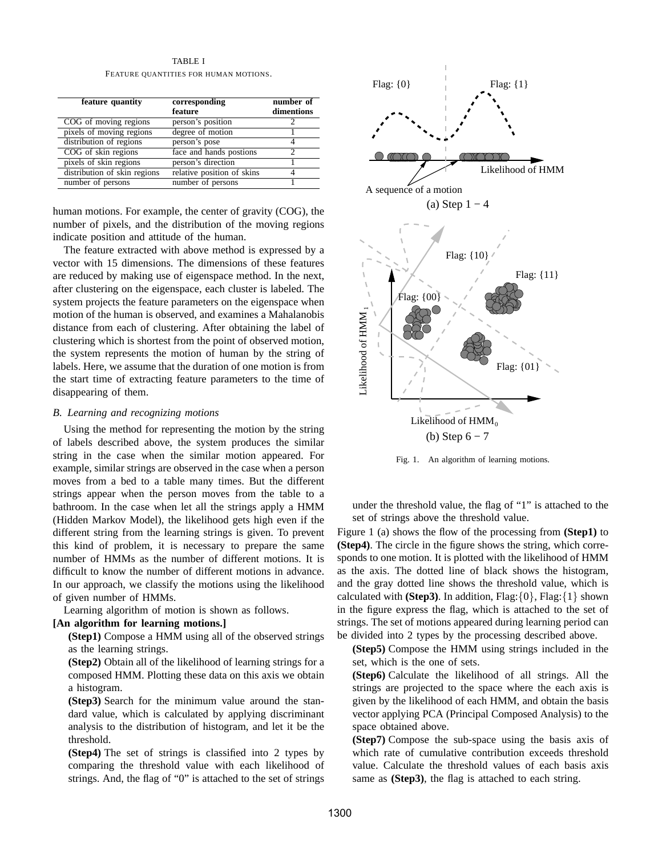TABLE I FEATURE QUANTITIES FOR HUMAN MOTIONS.

| feature quantity             | corresponding<br>feature   | number of<br>dimentions |
|------------------------------|----------------------------|-------------------------|
| COG of moving regions        | person's position          |                         |
| pixels of moving regions     | degree of motion           |                         |
| distribution of regions      | person's pose              |                         |
| COG of skin regions          | face and hands postions    |                         |
| pixels of skin regions       | person's direction         |                         |
| distribution of skin regions | relative position of skins | 4                       |
| number of persons            | number of persons          |                         |

human motions. For example, the center of gravity (COG), the number of pixels, and the distribution of the moving regions indicate position and attitude of the human.

The feature extracted with above method is expressed by a vector with 15 dimensions. The dimensions of these features are reduced by making use of eigenspace method. In the next, after clustering on the eigenspace, each cluster is labeled. The system projects the feature parameters on the eigenspace when motion of the human is observed, and examines a Mahalanobis distance from each of clustering. After obtaining the label of clustering which is shortest from the point of observed motion, the system represents the motion of human by the string of labels. Here, we assume that the duration of one motion is from the start time of extracting feature parameters to the time of disappearing of them.

## *B. Learning and recognizing motions*

Using the method for representing the motion by the string of labels described above, the system produces the similar string in the case when the similar motion appeared. For example, similar strings are observed in the case when a person moves from a bed to a table many times. But the different strings appear when the person moves from the table to a bathroom. In the case when let all the strings apply a HMM (Hidden Markov Model), the likelihood gets high even if the different string from the learning strings is given. To prevent this kind of problem, it is necessary to prepare the same number of HMMs as the number of different motions. It is difficult to know the number of different motions in advance. In our approach, we classify the motions using the likelihood of given number of HMMs.

Learning algorithm of motion is shown as follows.

## **[An algorithm for learning motions.]**

**(Step1)** Compose a HMM using all of the observed strings as the learning strings.

**(Step2)** Obtain all of the likelihood of learning strings for a composed HMM. Plotting these data on this axis we obtain a histogram.

**(Step3)** Search for the minimum value around the standard value, which is calculated by applying discriminant analysis to the distribution of histogram, and let it be the threshold.

**(Step4)** The set of strings is classified into 2 types by comparing the threshold value with each likelihood of strings. And, the flag of "0" is attached to the set of strings



Fig. 1. An algorithm of learning motions.

under the threshold value, the flag of "1" is attached to the set of strings above the threshold value.

Figure 1 (a) shows the flow of the processing from **(Step1)** to **(Step4)**. The circle in the figure shows the string, which corresponds to one motion. It is plotted with the likelihood of HMM as the axis. The dotted line of black shows the histogram, and the gray dotted line shows the threshold value, which is calculated with **(Step3)**. In addition,  $Flag: \{0\}$ ,  $Flag: \{1\}$  shown in the figure express the flag, which is attached to the set of strings. The set of motions appeared during learning period can be divided into 2 types by the processing described above.

**(Step5)** Compose the HMM using strings included in the set, which is the one of sets.

**(Step6)** Calculate the likelihood of all strings. All the strings are projected to the space where the each axis is given by the likelihood of each HMM, and obtain the basis vector applying PCA (Principal Composed Analysis) to the space obtained above.

**(Step7)** Compose the sub-space using the basis axis of which rate of cumulative contribution exceeds threshold value. Calculate the threshold values of each basis axis same as **(Step3)**, the flag is attached to each string.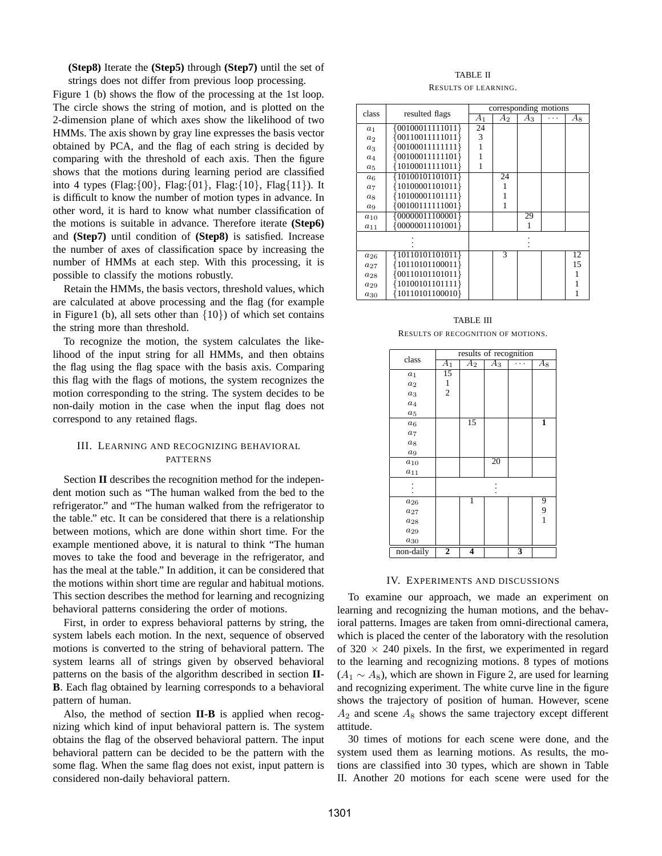**(Step8)** Iterate the **(Step5)** through **(Step7)** until the set of strings does not differ from previous loop processing.

Figure 1 (b) shows the flow of the processing at the 1st loop. The circle shows the string of motion, and is plotted on the 2-dimension plane of which axes show the likelihood of two HMMs. The axis shown by gray line expresses the basis vector obtained by PCA, and the flag of each string is decided by comparing with the threshold of each axis. Then the figure shows that the motions during learning period are classified into 4 types (Flag: $\{00\}$ , Flag: $\{01\}$ , Flag: $\{10\}$ , Flag $\{11\}$ ). It is difficult to know the number of motion types in advance. In other word, it is hard to know what number classification of the motions is suitable in advance. Therefore iterate **(Step6)** and **(Step7)** until condition of **(Step8)** is satisfied. Increase the number of axes of classification space by increasing the number of HMMs at each step. With this processing, it is possible to classify the motions robustly.

Retain the HMMs, the basis vectors, threshold values, which are calculated at above processing and the flag (for example in Figure1 (b), all sets other than  $\{10\}$ ) of which set contains the string more than threshold.

To recognize the motion, the system calculates the likelihood of the input string for all HMMs, and then obtains the flag using the flag space with the basis axis. Comparing this flag with the flags of motions, the system recognizes the motion corresponding to the string. The system decides to be non-daily motion in the case when the input flag does not correspond to any retained flags.

## III. LEARNING AND RECOGNIZING BEHAVIORAL PATTERNS

Section **II** describes the recognition method for the independent motion such as "The human walked from the bed to the refrigerator." and "The human walked from the refrigerator to the table." etc. It can be considered that there is a relationship between motions, which are done within short time. For the example mentioned above, it is natural to think "The human moves to take the food and beverage in the refrigerator, and has the meal at the table." In addition, it can be considered that the motions within short time are regular and habitual motions. This section describes the method for learning and recognizing behavioral patterns considering the order of motions.

First, in order to express behavioral patterns by string, the system labels each motion. In the next, sequence of observed motions is converted to the string of behavioral pattern. The system learns all of strings given by observed behavioral patterns on the basis of the algorithm described in section **II-B**. Each flag obtained by learning corresponds to a behavioral pattern of human.

Also, the method of section **II-B** is applied when recognizing which kind of input behavioral pattern is. The system obtains the flag of the observed behavioral pattern. The input behavioral pattern can be decided to be the pattern with the some flag. When the same flag does not exist, input pattern is considered non-daily behavioral pattern.

## TABLE II RESULTS OF LEARNING.

| class          | resulted flags     | corresponding motions |    |       |  |    |
|----------------|--------------------|-----------------------|----|-------|--|----|
|                |                    | A1                    | A2 | $A_3$ |  | Aя |
| $a_1$          | ${00100011111011}$ | 24                    |    |       |  |    |
| a <sub>2</sub> | ${00110011111011}$ | 3                     |    |       |  |    |
| $a_3$          | ${00100011111111}$ |                       |    |       |  |    |
| $a_4$          | ${00100011111101}$ |                       |    |       |  |    |
| $a_5$          | ${10100011111011}$ |                       |    |       |  |    |
| $a_6$          | {10100101101011}   |                       | 24 |       |  |    |
| $a_7$          | 10100001101011}    |                       |    |       |  |    |
| $a_8$          | 10100001101111}    |                       |    |       |  |    |
| $a_9$          | ${00100111111001}$ |                       | 1  |       |  |    |
| $a_{10}$       | ${00000011100001}$ |                       |    | 29    |  |    |
| $a_{11}$       | ${00000011101001}$ |                       |    |       |  |    |
|                |                    |                       |    |       |  |    |
|                |                    |                       |    |       |  |    |
| $a_{26}$       | ${10110101101011}$ |                       | 3  |       |  | 12 |
| $a_{27}$       | 10110101100011}    |                       |    |       |  | 15 |
| $a_{28}$       | ${00110101101011}$ |                       |    |       |  |    |
| $a_{29}$       | 10100101101111}    |                       |    |       |  |    |
| $a_{30}$       | 10110101100010}    |                       |    |       |  |    |

TABLE III RESULTS OF RECOGNITION OF MOTIONS.

|                  | results of recognition |                  |       |                         |                  |
|------------------|------------------------|------------------|-------|-------------------------|------------------|
| class            | $\overline{A_1}$       | $\overline{A}_2$ | $A_3$ |                         | $\overline{A}_8$ |
| $a_1$            | 15                     |                  |       |                         |                  |
| $a_2$            | 1                      |                  |       |                         |                  |
| $a_3$            | $\overline{c}$         |                  |       |                         |                  |
| $a_4$            |                        |                  |       |                         |                  |
| $a_5$            |                        |                  |       |                         |                  |
| $a_6$            |                        | $\overline{15}$  |       |                         | 1                |
| $a_7$            |                        |                  |       |                         |                  |
| $a_8$            |                        |                  |       |                         |                  |
| $\mathfrak{a}_9$ |                        |                  |       |                         |                  |
| $a_{10}$         |                        |                  | 20    |                         |                  |
| $a_{11}$         |                        |                  |       |                         |                  |
|                  |                        |                  |       |                         |                  |
|                  |                        |                  |       |                         |                  |
| $a_{26}$         |                        | ī                |       |                         | 9                |
| $a_{27}$         |                        |                  |       |                         | 9                |
| $a_{28}$         |                        |                  |       |                         | $\mathbf{1}$     |
| $a_{29}$         |                        |                  |       |                         |                  |
| $a_{30}$         |                        |                  |       |                         |                  |
| non-daily        | $\overline{2}$         | 4                |       | $\overline{\mathbf{3}}$ |                  |

## IV. EXPERIMENTS AND DISCUSSIONS

To examine our approach, we made an experiment on learning and recognizing the human motions, and the behavioral patterns. Images are taken from omni-directional camera, which is placed the center of the laboratory with the resolution of  $320 \times 240$  pixels. In the first, we experimented in regard to the learning and recognizing motions. 8 types of motions  $(A_1 \sim A_8)$ , which are shown in Figure 2, are used for learning and recognizing experiment. The white curve line in the figure shows the trajectory of position of human. However, scene  $A_2$  and scene  $A_8$  shows the same trajectory except different attitude.

30 times of motions for each scene were done, and the system used them as learning motions. As results, the motions are classified into 30 types, which are shown in Table II. Another 20 motions for each scene were used for the